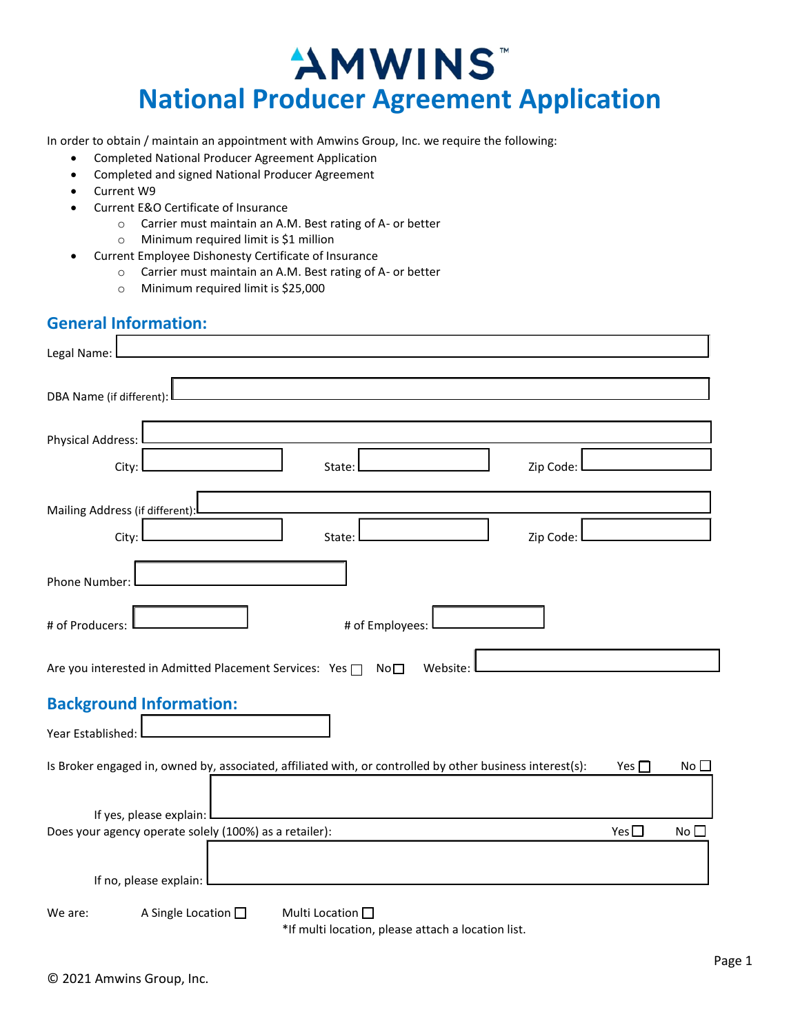# "AMWINS **National Producer Agreement Application**

In order to obtain / maintain an appointment with Amwins Group, Inc. we require the following:

- **Completed National Producer Agreement Application**  $\bullet$
- Completed and signed National Producer Agreement  $\bullet$
- Current W9
	- Current E&O Certificate of Insurance
		- O Carrier must maintain an A.M. Best rating of A- or better
		- O Minimum required limit is \$1 million
- Current Employee Dishonesty Certificate of Insurance  $\bullet$ 
	- O Carrier must maintain an A.M. Best rating of A- or better
	- O Minimum required limit is \$25,000

#### **General Information:**

| Legal Name:                                                                                                                             |
|-----------------------------------------------------------------------------------------------------------------------------------------|
| DBA Name (if different):                                                                                                                |
| <b>Physical Address:</b>                                                                                                                |
| Zip Code:<br>City:<br>State:                                                                                                            |
| Mailing Address (if different):                                                                                                         |
| Zip Code:<br>City:<br>State:                                                                                                            |
| Phone Number:                                                                                                                           |
| # of Employees:<br># of Producers:                                                                                                      |
| Are you interested in Admitted Placement Services: Yes □ No□<br>Website:                                                                |
| <b>Background Information:</b>                                                                                                          |
| Year Established:                                                                                                                       |
| Is Broker engaged in, owned by, associated, affiliated with, or controlled by other business interest(s):<br>Yes $\Box$<br>No $\square$ |
| If yes, please explain:                                                                                                                 |
| Yes $\Box$<br>Does your agency operate solely (100%) as a retailer):<br>No <sub>1</sub>                                                 |
| If no, please explain: I                                                                                                                |
| A Single Location $\square$<br>Multi Location $\square$<br>We are:                                                                      |

\*If multi location, please attach a location list.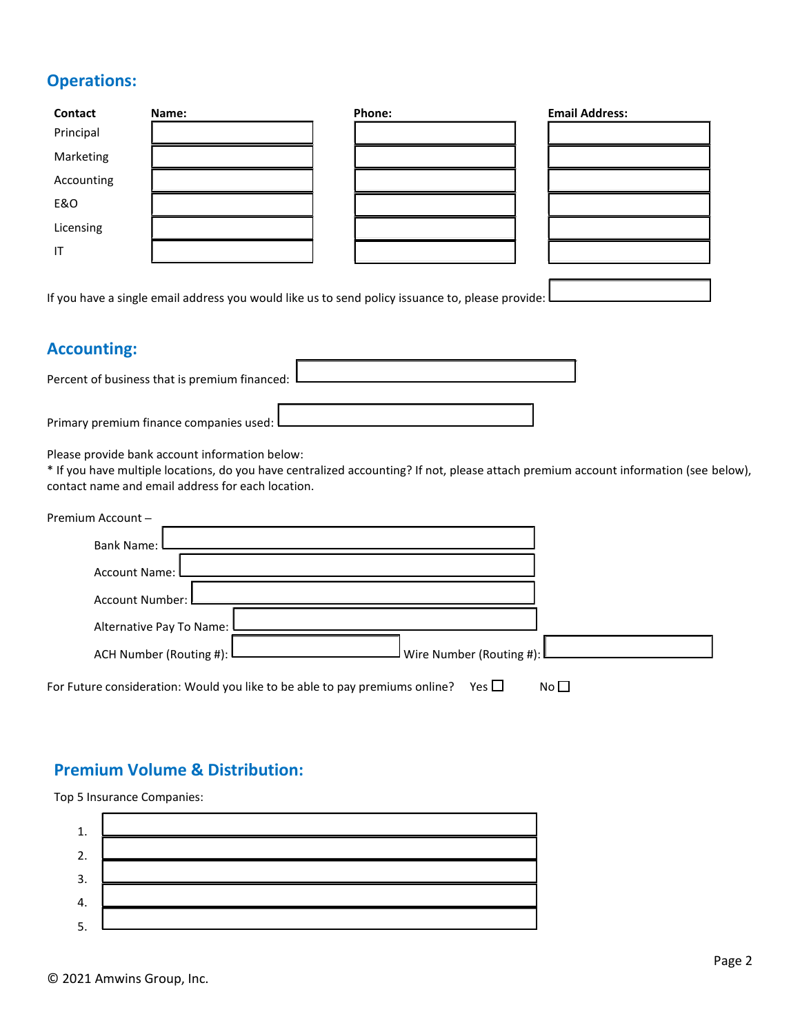### **Operations:**

| <b>Contact</b> | Name: | Phone:                                                                                             | <b>Email Address:</b> |
|----------------|-------|----------------------------------------------------------------------------------------------------|-----------------------|
| Principal      |       |                                                                                                    |                       |
| Marketing      |       |                                                                                                    |                       |
| Accounting     |       |                                                                                                    |                       |
| E&O            |       |                                                                                                    |                       |
| Licensing      |       |                                                                                                    |                       |
| IT             |       |                                                                                                    |                       |
|                |       |                                                                                                    |                       |
|                |       | If you have a single email address you would like us to send policy issuance to, please provide: l |                       |

#### **Accounting:**

| Percent of business that is premium financed: |  |
|-----------------------------------------------|--|
| Primary premium finance companies used: L     |  |

Please provide bank account information below:

\* If you have multiple locations, do you have centralized accounting? If not, please attach premium account information (see below), contact name and email address for each location.

| Premium Account -          |                                                                                                 |
|----------------------------|-------------------------------------------------------------------------------------------------|
| <b>Bank Name:</b>          |                                                                                                 |
| <b>Account Name:</b>       |                                                                                                 |
| <b>Account Number:</b>     |                                                                                                 |
| Alternative Pay To Name: I |                                                                                                 |
|                            |                                                                                                 |
| ACH Number (Routing #): L  | ${\sf I}$ Wire Number (Routing #): ${\sf I}$                                                    |
|                            | For Future consideration: Would you like to be able to pay premiums online?<br>Yes $\Box$<br>No |

#### **Premium Volume & Distribution:**

Top 5 Insurance Companies:

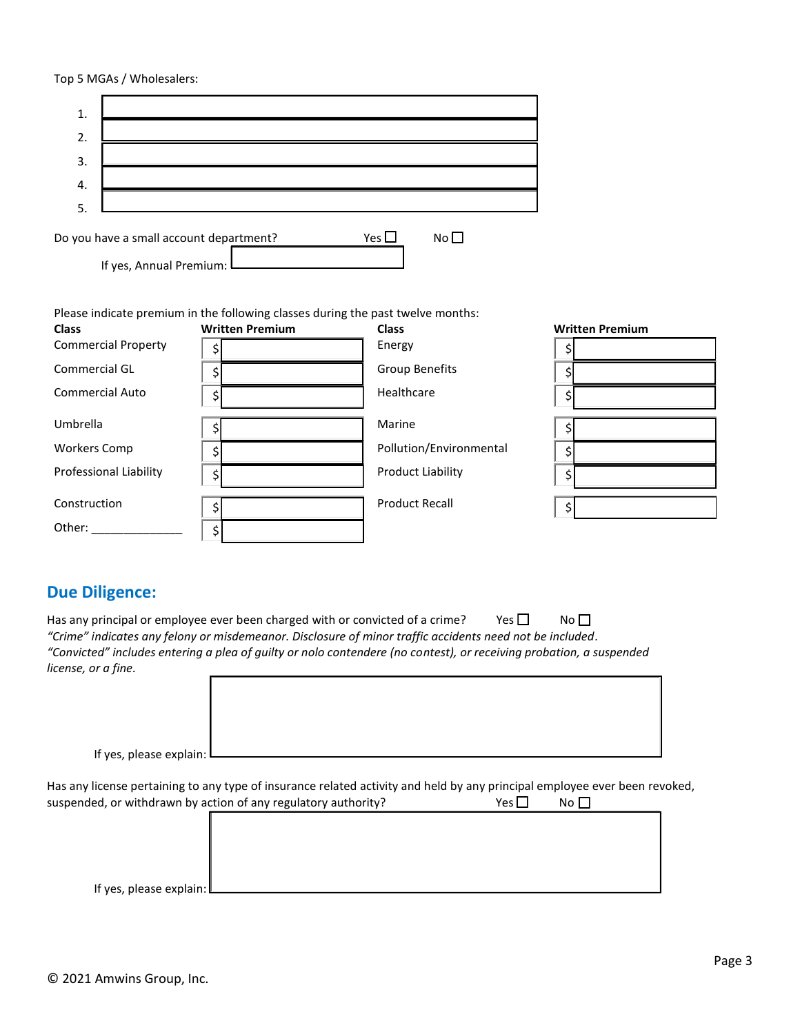#### Top 5 MGAs / Wholesalers:

| 1. |                                                                    |       |                 |  |
|----|--------------------------------------------------------------------|-------|-----------------|--|
| 2. |                                                                    |       |                 |  |
| 3. |                                                                    |       |                 |  |
| 4. |                                                                    |       |                 |  |
| 5  |                                                                    |       |                 |  |
|    | Do you have a small account department?<br>If yes, Annual Premium: | Yes l | No <sub>1</sub> |  |

Please indicate premium in the following classes during the past twelve months:

| <b>Class</b>               | <b>Written Premium</b> | <b>Class</b>            | <b>Written Premium</b> |
|----------------------------|------------------------|-------------------------|------------------------|
| <b>Commercial Property</b> |                        | Energy                  |                        |
| Commercial GL              |                        | <b>Group Benefits</b>   |                        |
| <b>Commercial Auto</b>     | \$                     | Healthcare              |                        |
| Umbrella                   |                        | Marine                  |                        |
| <b>Workers Comp</b>        |                        | Pollution/Environmental |                        |
| Professional Liability     | \$                     | Product Liability       |                        |
| Construction               | \$                     | <b>Product Recall</b>   | Ş                      |
| Other:                     |                        |                         |                        |

## **Due Diligence:**

|                                                                                                                     | Has any principal or employee ever been charged with or convicted of a crime? | Yes $\Box$ | $N_O \Box$ |  |  |  |
|---------------------------------------------------------------------------------------------------------------------|-------------------------------------------------------------------------------|------------|------------|--|--|--|
| "Crime" indicates any felony or misdemeanor. Disclosure of minor traffic accidents need not be included.            |                                                                               |            |            |  |  |  |
| "Convicted" includes entering a plea of quilty or nolo contendere (no contest), or receiving probation, a suspended |                                                                               |            |            |  |  |  |
| license, or a fine.                                                                                                 |                                                                               |            |            |  |  |  |
|                                                                                                                     |                                                                               |            |            |  |  |  |

| If yes, please explain: L |  |
|---------------------------|--|

Has any license pertaining to any type of insurance related activity and held by any principal employee ever been revoked, Yes  $\square$ suspended, or withdrawn by action of any regulatory authority?  $No$ 

| --                          | - |  |  |  |
|-----------------------------|---|--|--|--|
|                             |   |  |  |  |
|                             |   |  |  |  |
|                             |   |  |  |  |
|                             |   |  |  |  |
|                             |   |  |  |  |
|                             |   |  |  |  |
|                             |   |  |  |  |
|                             |   |  |  |  |
|                             |   |  |  |  |
|                             |   |  |  |  |
| If yes, please explain: $L$ |   |  |  |  |
|                             |   |  |  |  |